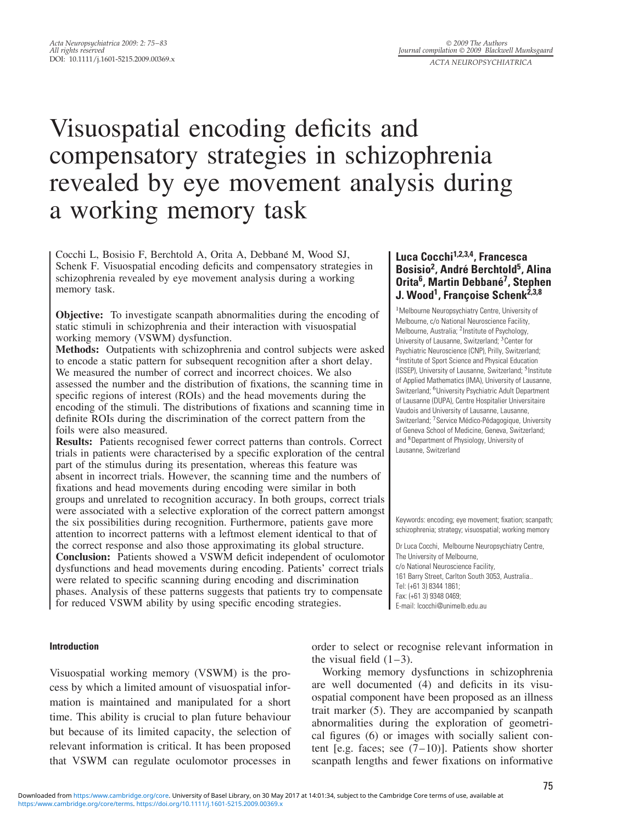# Visuospatial encoding deficits and compensatory strategies in schizophrenia revealed by eye movement analysis during a working memory task

Cocchi L, Bosisio F, Berchtold A, Orita A, Debbane M, Wood SJ, ´ Schenk F. Visuospatial encoding deficits and compensatory strategies in schizophrenia revealed by eye movement analysis during a working memory task.

**Objective:** To investigate scanpath abnormalities during the encoding of static stimuli in schizophrenia and their interaction with visuospatial working memory (VSWM) dysfunction.

**Methods:** Outpatients with schizophrenia and control subjects were asked to encode a static pattern for subsequent recognition after a short delay. We measured the number of correct and incorrect choices. We also assessed the number and the distribution of fixations, the scanning time in specific regions of interest (ROIs) and the head movements during the encoding of the stimuli. The distributions of fixations and scanning time in definite ROIs during the discrimination of the correct pattern from the foils were also measured.

**Results:** Patients recognised fewer correct patterns than controls. Correct trials in patients were characterised by a specific exploration of the central part of the stimulus during its presentation, whereas this feature was absent in incorrect trials. However, the scanning time and the numbers of fixations and head movements during encoding were similar in both groups and unrelated to recognition accuracy. In both groups, correct trials were associated with a selective exploration of the correct pattern amongst the six possibilities during recognition. Furthermore, patients gave more attention to incorrect patterns with a leftmost element identical to that of the correct response and also those approximating its global structure. **Conclusion:** Patients showed a VSWM deficit independent of oculomotor dysfunctions and head movements during encoding. Patients' correct trials were related to specific scanning during encoding and discrimination phases. Analysis of these patterns suggests that patients try to compensate for reduced VSWM ability by using specific encoding strategies.

# **Luca Cocchi1,2,3,4, Francesca Bosisio<sup>2</sup>, André Berchtold<sup>5</sup>, Alina Orita6 , Martin Debbane´ 7, Stephen J. Wood<sup>1</sup>, Françoise Schenk<sup>2,3,8</sup>**

<sup>1</sup>Melbourne Neuropsychiatry Centre, University of Melbourne, c/o National Neuroscience Facility, Melbourne, Australia; <sup>2</sup>Institute of Psychology, University of Lausanne, Switzerland; <sup>3</sup>Center for Psychiatric Neuroscience (CNP), Prilly, Switzerland; <sup>4</sup>Institute of Sport Science and Physical Education (ISSEP), University of Lausanne, Switzerland; <sup>5</sup>Institute of Applied Mathematics (IMA), University of Lausanne, Switzerland; <sup>6</sup>University Psychiatric Adult Department of Lausanne (DUPA), Centre Hospitalier Universitaire Vaudois and University of Lausanne, Lausanne, Switzerland; <sup>7</sup> Service Médico-Pédagogique, University of Geneva School of Medicine, Geneva, Switzerland; and <sup>8</sup>Department of Physiology, University of Lausanne, Switzerland

Keywords: encoding; eye movement; fixation; scanpath; schizophrenia; strategy; visuospatial; working memory

Dr Luca Cocchi, Melbourne Neuropsychiatry Centre, The University of Melbourne, c/o National Neuroscience Facility, 161 Barry Street, Carlton South 3053, Australia..

Tel: (+61 3) 8344 1861;

Fax: (+61 3) 9348 0469;

E-mail: lcocchi@unimelb.edu.au

### **Introduction**

Visuospatial working memory (VSWM) is the process by which a limited amount of visuospatial information is maintained and manipulated for a short time. This ability is crucial to plan future behaviour but because of its limited capacity, the selection of relevant information is critical. It has been proposed that VSWM can regulate oculomotor processes in order to select or recognise relevant information in the visual field  $(1-3)$ .

Working memory dysfunctions in schizophrenia are well documented (4) and deficits in its visuospatial component have been proposed as an illness trait marker (5). They are accompanied by scanpath abnormalities during the exploration of geometrical figures (6) or images with socially salient content [e.g. faces; see  $(7-10)$ ]. Patients show shorter scanpath lengths and fewer fixations on informative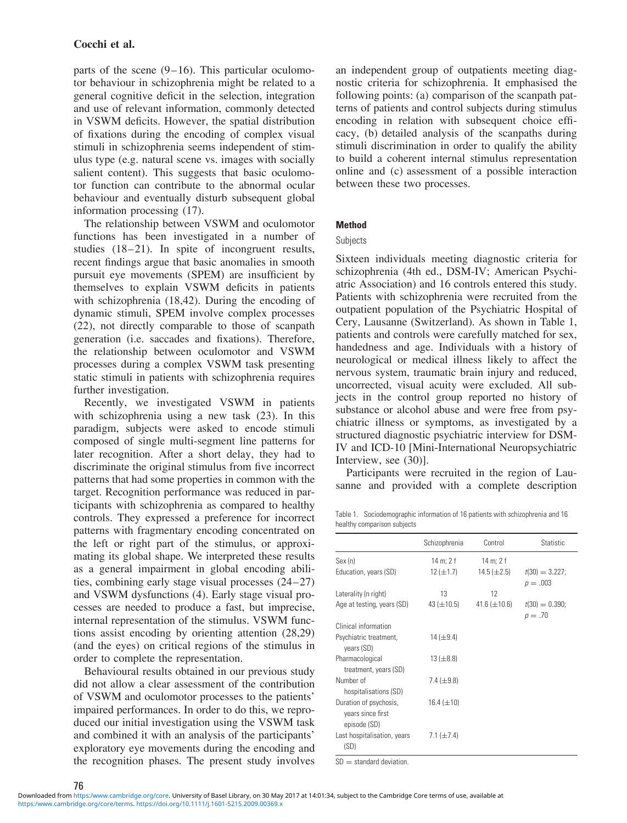## **Cocchi et al.**

parts of the scene  $(9-16)$ . This particular oculomotor behaviour in schizophrenia might be related to a general cognitive deficit in the selection, integration and use of relevant information, commonly detected in VSWM deficits. However, the spatial distribution of fixations during the encoding of complex visual stimuli in schizophrenia seems independent of stimulus type (e.g. natural scene vs. images with socially salient content). This suggests that basic oculomotor function can contribute to the abnormal ocular behaviour and eventually disturb subsequent global information processing (17).

The relationship between VSWM and oculomotor functions has been investigated in a number of studies (18–21). In spite of incongruent results, recent findings argue that basic anomalies in smooth pursuit eye movements (SPEM) are insufficient by themselves to explain VSWM deficits in patients with schizophrenia (18,42). During the encoding of dynamic stimuli, SPEM involve complex processes (22), not directly comparable to those of scanpath generation (i.e. saccades and fixations). Therefore, the relationship between oculomotor and VSWM processes during a complex VSWM task presenting static stimuli in patients with schizophrenia requires further investigation.

Recently, we investigated VSWM in patients with schizophrenia using a new task (23). In this paradigm, subjects were asked to encode stimuli composed of single multi-segment line patterns for later recognition. After a short delay, they had to discriminate the original stimulus from five incorrect patterns that had some properties in common with the target. Recognition performance was reduced in participants with schizophrenia as compared to healthy controls. They expressed a preference for incorrect patterns with fragmentary encoding concentrated on the left or right part of the stimulus, or approximating its global shape. We interpreted these results as a general impairment in global encoding abilities, combining early stage visual processes (24–27) and VSWM dysfunctions (4). Early stage visual processes are needed to produce a fast, but imprecise, internal representation of the stimulus. VSWM functions assist encoding by orienting attention (28,29) (and the eyes) on critical regions of the stimulus in order to complete the representation.

Behavioural results obtained in our previous study did not allow a clear assessment of the contribution of VSWM and oculomotor processes to the patients' impaired performances. In order to do this, we reproduced our initial investigation using the VSWM task and combined it with an analysis of the participants' exploratory eye movements during the encoding and the recognition phases. The present study involves

an independent group of outpatients meeting diagnostic criteria for schizophrenia. It emphasised the following points: (a) comparison of the scanpath patterns of patients and control subjects during stimulus encoding in relation with subsequent choice efficacy, (b) detailed analysis of the scanpaths during stimuli discrimination in order to qualify the ability to build a coherent internal stimulus representation online and (c) assessment of a possible interaction between these two processes.

# **Method**

## Subjects

Sixteen individuals meeting diagnostic criteria for schizophrenia (4th ed., DSM-IV; American Psychiatric Association) and 16 controls entered this study. Patients with schizophrenia were recruited from the outpatient population of the Psychiatric Hospital of Cery, Lausanne (Switzerland). As shown in Table 1, patients and controls were carefully matched for sex, handedness and age. Individuals with a history of neurological or medical illness likely to affect the nervous system, traumatic brain injury and reduced, uncorrected, visual acuity were excluded. All subjects in the control group reported no history of substance or alcohol abuse and were free from psychiatric illness or symptoms, as investigated by a structured diagnostic psychiatric interview for DSM-IV and ICD-10 [Mini-International Neuropsychiatric Interview, see (30)].

Participants were recruited in the region of Lausanne and provided with a complete description

|                             | Table 1. Sociodemographic information of 16 patients with schizophrenia and 16 |  |  |  |  |  |
|-----------------------------|--------------------------------------------------------------------------------|--|--|--|--|--|
| healthy comparison subjects |                                                                                |  |  |  |  |  |

|                                                             | Schizophrenia               | Control                       | <b>Statistic</b>              |
|-------------------------------------------------------------|-----------------------------|-------------------------------|-------------------------------|
| Sex (n)<br>Education, years (SD)                            | 14 m; 2 f<br>$12 (\pm 1.7)$ | 14 m; 2 f<br>$14.5 (\pm 2.5)$ | $t(30) = 3.227$ ;<br>$p=.003$ |
| Laterality (n right)<br>Age at testing, years (SD)          | 13<br>43 ( $\pm$ 10.5)      | 12<br>$41.6 (\pm 10.6)$       | $t(30) = 0.390;$<br>$p=.70$   |
| Clinical information<br>Psychiatric treatment,              | $14 \times 9.4$             |                               |                               |
| years (SD)<br>Pharmacological<br>treatment, years (SD)      | $13 (\pm 8.8)$              |                               |                               |
| Number of<br>hospitalisations (SD)                          | 7.4 $(\pm 9.8)$             |                               |                               |
| Duration of psychosis,<br>years since first<br>episode (SD) | 16.4 $(\pm 10)$             |                               |                               |
| Last hospitalisation, years<br>(SD)                         | 7.1 $(\pm 7.4)$             |                               |                               |

 $SD =$  standard deviation.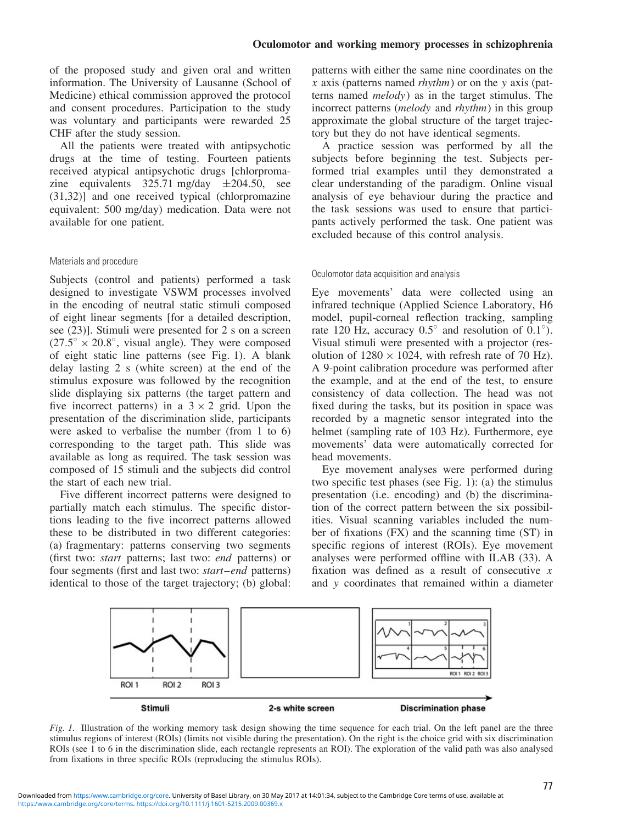of the proposed study and given oral and written information. The University of Lausanne (School of Medicine) ethical commission approved the protocol and consent procedures. Participation to the study was voluntary and participants were rewarded 25 CHF after the study session.

All the patients were treated with antipsychotic drugs at the time of testing. Fourteen patients received atypical antipsychotic drugs [chlorpromazine equivalents 325.71 mg/day ±204*.*50, see (31,32)] and one received typical (chlorpromazine equivalent: 500 mg/day) medication. Data were not available for one patient.

#### Materials and procedure

Subjects (control and patients) performed a task designed to investigate VSWM processes involved in the encoding of neutral static stimuli composed of eight linear segments [for a detailed description, see (23)]. Stimuli were presented for 2 s on a screen  $(27.5° \times 20.8°)$ , visual angle). They were composed of eight static line patterns (see Fig. 1). A blank delay lasting 2 s (white screen) at the end of the stimulus exposure was followed by the recognition slide displaying six patterns (the target pattern and five incorrect patterns) in a  $3 \times 2$  grid. Upon the presentation of the discrimination slide, participants were asked to verbalise the number (from 1 to 6) corresponding to the target path. This slide was available as long as required. The task session was composed of 15 stimuli and the subjects did control the start of each new trial.

Five different incorrect patterns were designed to partially match each stimulus. The specific distortions leading to the five incorrect patterns allowed these to be distributed in two different categories: (a) fragmentary: patterns conserving two segments (first two: *start* patterns; last two: *end* patterns) or four segments (first and last two: *start–end* patterns) identical to those of the target trajectory; (b) global: patterns with either the same nine coordinates on the *x* axis (patterns named *rhythm*) or on the *y* axis (patterns named *melody*) as in the target stimulus. The incorrect patterns (*melody* and *rhythm*) in this group approximate the global structure of the target trajectory but they do not have identical segments.

A practice session was performed by all the subjects before beginning the test. Subjects performed trial examples until they demonstrated a clear understanding of the paradigm. Online visual analysis of eye behaviour during the practice and the task sessions was used to ensure that participants actively performed the task. One patient was excluded because of this control analysis.

#### Oculomotor data acquisition and analysis

Eye movements' data were collected using an infrared technique (Applied Science Laboratory, H6 model, pupil-corneal reflection tracking, sampling rate 120 Hz, accuracy 0*.*5◦ and resolution of 0*.*1◦ *)*. Visual stimuli were presented with a projector (resolution of  $1280 \times 1024$ , with refresh rate of 70 Hz). A 9-point calibration procedure was performed after the example, and at the end of the test, to ensure consistency of data collection. The head was not fixed during the tasks, but its position in space was recorded by a magnetic sensor integrated into the helmet (sampling rate of 103 Hz). Furthermore, eye movements' data were automatically corrected for head movements.

Eye movement analyses were performed during two specific test phases (see Fig. 1): (a) the stimulus presentation (i.e. encoding) and (b) the discrimination of the correct pattern between the six possibilities. Visual scanning variables included the number of fixations (FX) and the scanning time (ST) in specific regions of interest (ROIs). Eye movement analyses were performed offline with ILAB (33). A fixation was defined as a result of consecutive *x* and *y* coordinates that remained within a diameter



*Fig. 1.* Illustration of the working memory task design showing the time sequence for each trial. On the left panel are the three stimulus regions of interest (ROIs) (limits not visible during the presentation). On the right is the choice grid with six discrimination ROIs (see 1 to 6 in the discrimination slide, each rectangle represents an ROI). The exploration of the valid path was also analysed from fixations in three specific ROIs (reproducing the stimulus ROIs).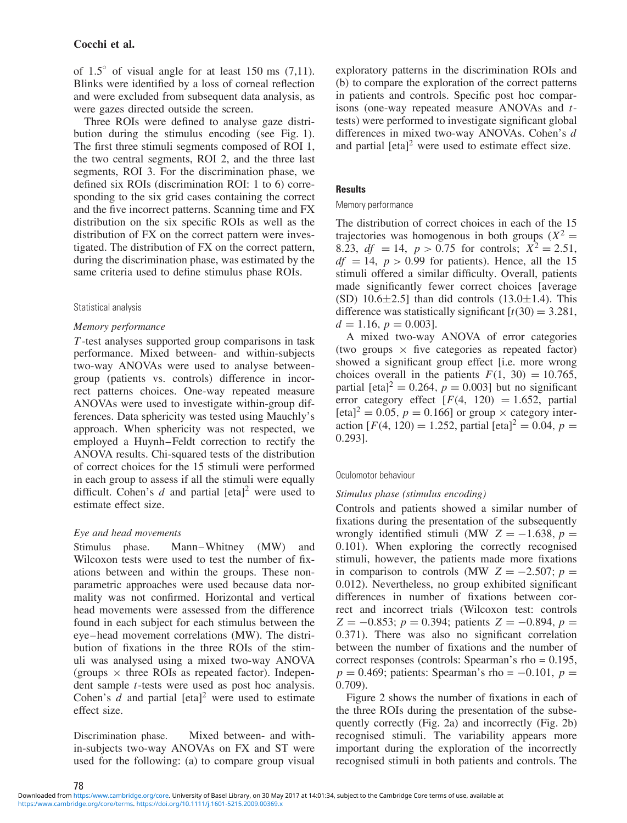of  $1.5^\circ$  of visual angle for at least 150 ms  $(7.11)$ . Blinks were identified by a loss of corneal reflection and were excluded from subsequent data analysis, as were gazes directed outside the screen.

Three ROIs were defined to analyse gaze distribution during the stimulus encoding (see Fig. 1). The first three stimuli segments composed of ROI 1, the two central segments, ROI 2, and the three last segments, ROI 3. For the discrimination phase, we defined six ROIs (discrimination ROI: 1 to 6) corresponding to the six grid cases containing the correct and the five incorrect patterns. Scanning time and FX distribution on the six specific ROIs as well as the distribution of FX on the correct pattern were investigated. The distribution of FX on the correct pattern, during the discrimination phase, was estimated by the same criteria used to define stimulus phase ROIs.

### Statistical analysis

## *Memory performance*

*T* -test analyses supported group comparisons in task performance. Mixed between- and within-subjects two-way ANOVAs were used to analyse betweengroup (patients vs. controls) difference in incorrect patterns choices. One-way repeated measure ANOVAs were used to investigate within-group differences. Data sphericity was tested using Mauchly's approach. When sphericity was not respected, we employed a Huynh–Feldt correction to rectify the ANOVA results. Chi-squared tests of the distribution of correct choices for the 15 stimuli were performed in each group to assess if all the stimuli were equally difficult. Cohen's  $d$  and partial  $[eta]^2$  were used to estimate effect size.

### *Eye and head movements*

Stimulus phase. Mann–Whitney (MW) and Wilcoxon tests were used to test the number of fixations between and within the groups. These nonparametric approaches were used because data normality was not confirmed. Horizontal and vertical head movements were assessed from the difference found in each subject for each stimulus between the eye–head movement correlations (MW). The distribution of fixations in the three ROIs of the stimuli was analysed using a mixed two-way ANOVA (groups  $\times$  three ROIs as repeated factor). Independent sample *t*-tests were used as post hoc analysis. Cohen's  $d$  and partial  $[eta]^2$  were used to estimate effect size.

Discrimination phase. Mixed between- and within-subjects two-way ANOVAs on FX and ST were used for the following: (a) to compare group visual exploratory patterns in the discrimination ROIs and (b) to compare the exploration of the correct patterns in patients and controls. Specific post hoc comparisons (one-way repeated measure ANOVAs and *t*tests) were performed to investigate significant global differences in mixed two-way ANOVAs. Cohen's *d* and partial  $[eta]^2$  were used to estimate effect size.

## **Results**

## Memory performance

The distribution of correct choices in each of the 15 trajectories was homogenous in both groups  $(X^2 =$ 8.23,  $df = 14$ ,  $p > 0.75$  for controls;  $X^2 = 2.51$ ,  $df = 14$ ,  $p > 0.99$  for patients). Hence, all the 15 stimuli offered a similar difficulty. Overall, patients made significantly fewer correct choices [average (SD)  $10.6 \pm 2.5$ ] than did controls  $(13.0 \pm 1.4)$ . This difference was statistically significant  $[t(30) = 3.281]$ ,  $d = 1.16, p = 0.003$ .

A mixed two-way ANOVA of error categories (two groups  $\times$  five categories as repeated factor) showed a significant group effect [i.e. more wrong choices overall in the patients  $F(1, 30) = 10.765$ , partial  $\text{[eta]}^2 = 0.264$ ,  $p = 0.003$  but no significant error category effect  $[F(4, 120) = 1.652]$ , partial  $[eta]^2 = 0.05$ ,  $p = 0.166$  or group  $\times$  category interaction  $[F(4, 120) = 1.252$ , partial  $[\text{eta}]^2 = 0.04$ ,  $p =$ 0*.*293].

### Oculomotor behaviour

### *Stimulus phase (stimulus encoding)*

Controls and patients showed a similar number of fixations during the presentation of the subsequently wrongly identified stimuli (MW  $Z = -1.638$ ,  $p =$ 0*.*101). When exploring the correctly recognised stimuli, however, the patients made more fixations in comparison to controls (MW  $Z = -2.507$ ;  $p =$ 0*.*012). Nevertheless, no group exhibited significant differences in number of fixations between correct and incorrect trials (Wilcoxon test: controls *Z* = −0*.*853; *p* = 0*.*394; patients *Z* = −0*.*894*, p* = 0*.*371). There was also no significant correlation between the number of fixations and the number of correct responses (controls: Spearman's rho = 0.195,  $p = 0.469$ ; patients: Spearman's rho =  $-0.101$ ,  $p =$ 0*.*709).

Figure 2 shows the number of fixations in each of the three ROIs during the presentation of the subsequently correctly (Fig. 2a) and incorrectly (Fig. 2b) recognised stimuli. The variability appears more important during the exploration of the incorrectly recognised stimuli in both patients and controls. The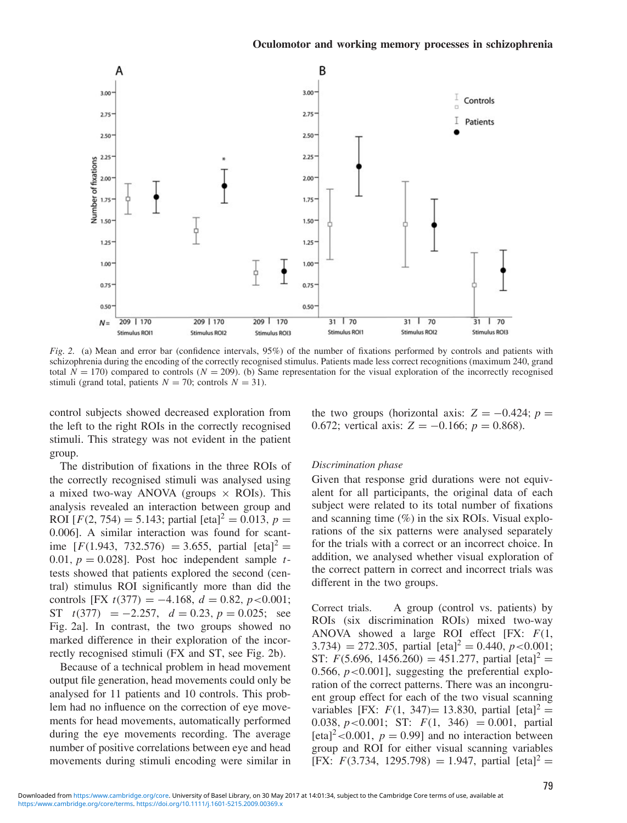

*Fig. 2.* (a) Mean and error bar (confidence intervals, 95%) of the number of fixations performed by controls and patients with schizophrenia during the encoding of the correctly recognised stimulus. Patients made less correct recognitions (maximum 240, grand total  $N = 170$ ) compared to controls ( $N = 209$ ). (b) Same representation for the visual exploration of the incorrectly recognised stimuli (grand total, patients  $N = 70$ ; controls  $N = 31$ ).

control subjects showed decreased exploration from the left to the right ROIs in the correctly recognised stimuli. This strategy was not evident in the patient group.

the two groups (horizontal axis:  $Z = -0.424$ ;  $p =$ 0.672; vertical axis:  $Z = -0.166$ ;  $p = 0.868$ ).

The distribution of fixations in the three ROIs of the correctly recognised stimuli was analysed using a mixed two-way ANOVA (groups  $\times$  ROIs). This analysis revealed an interaction between group and ROI  $[F(2, 754) = 5.143$ ; partial  $[eta]^2 = 0.013$ ,  $p =$ 0*.*006]. A similar interaction was found for scantime  $[F(1.943, 732.576) = 3.655$ , partial  $[eta]^2 =$ 0.01,  $p = 0.028$ ]. Post hoc independent sample *t*tests showed that patients explored the second (central) stimulus ROI significantly more than did the controls  $[FX t(377) = -4.168, d = 0.82, p < 0.001;$ ST  $t(377) = -2.257$ ,  $d = 0.23$ ,  $p = 0.025$ ; see Fig. 2a]. In contrast, the two groups showed no marked difference in their exploration of the incorrectly recognised stimuli (FX and ST, see Fig. 2b).

Because of a technical problem in head movement output file generation, head movements could only be analysed for 11 patients and 10 controls. This problem had no influence on the correction of eye movements for head movements, automatically performed during the eye movements recording. The average number of positive correlations between eye and head movements during stimuli encoding were similar in

## *Discrimination phase*

Given that response grid durations were not equivalent for all participants, the original data of each subject were related to its total number of fixations and scanning time  $(\%)$  in the six ROIs. Visual explorations of the six patterns were analysed separately for the trials with a correct or an incorrect choice. In addition, we analysed whether visual exploration of the correct pattern in correct and incorrect trials was different in the two groups.

Correct trials. A group (control vs. patients) by ROIs (six discrimination ROIs) mixed two-way ANOVA showed a large ROI effect [FX: *F*(1,  $3.734$ ) = 272.305, partial  $\text{[eta]}^2 = 0.440, p < 0.001$ ; ST:  $F(5.696, 1456.260) = 451.277$ , partial  $\lceil \text{eta} \rceil^2 =$ 0*.*566*, p<*0*.*001], suggesting the preferential exploration of the correct patterns. There was an incongruent group effect for each of the two visual scanning variables [FX:  $F(1, 347) = 13.830$ , partial  $[eta]^2 =$ 0*.*038*, p<*0*.*001; ST: *F*(1, 346) = 0*.*001, partial  $[eta]^2$ <0.001,  $p = 0.99$ ] and no interaction between group and ROI for either visual scanning variables [FX:  $F(3.734, 1295.798) = 1.947$ , partial  $[eta]^2 =$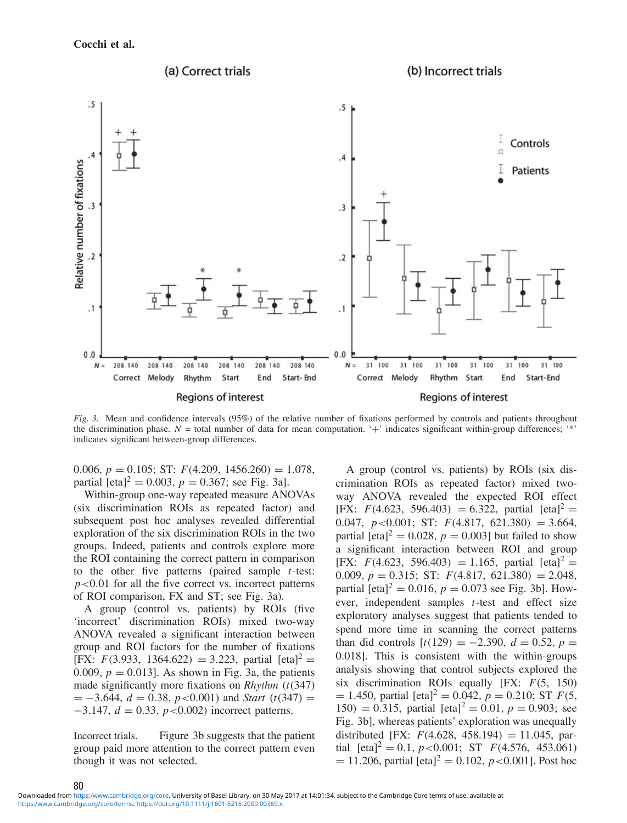

*Fig. 3.* Mean and confidence intervals (95%) of the relative number of fixations performed by controls and patients throughout the discrimination phase.  $N =$  total number of data for mean computation. '+' indicates significant within-group differences; '\*' indicates significant between-group differences.

0.006,  $p = 0.105$ ; ST:  $F(4.209, 1456.260) = 1.078$ , partial  $[eta]^2 = 0.003$ ,  $p = 0.367$ ; see Fig. 3a].

Within-group one-way repeated measure ANOVAs (six discrimination ROIs as repeated factor) and subsequent post hoc analyses revealed differential exploration of the six discrimination ROIs in the two groups. Indeed, patients and controls explore more the ROI containing the correct pattern in comparison to the other five patterns (paired sample *t*-test: *p<*0*.*01 for all the five correct vs. incorrect patterns of ROI comparison, FX and ST; see Fig. 3a).

A group (control vs. patients) by ROIs (five 'incorrect' discrimination ROIs) mixed two-way ANOVA revealed a significant interaction between group and ROI factors for the number of fixations [FX:  $F(3.933, 1364.622) = 3.223$ , partial  $[eta]^2 =$ 0.009,  $p = 0.013$ . As shown in Fig. 3a, the patients made significantly more fixations on *Rhythm* (*t*(347) = −3*.*644, *d* = 0*.*38*, p<*0*.*001) and *Start* (*t*(347) = −3*.*147, *d* = 0*.*33*, p<*0*.*002) incorrect patterns.

Incorrect trials. Figure 3b suggests that the patient group paid more attention to the correct pattern even though it was not selected.

A group (control vs. patients) by ROIs (six discrimination ROIs as repeated factor) mixed twoway ANOVA revealed the expected ROI effect [FX:  $F(4.623, 596.403) = 6.322$ , partial  $[eta]^2 =$ 0.047,  $p < 0.001$ ; ST:  $F(4.817, 621.380) = 3.664$ , partial [eta]<sup>2</sup> = 0.028*, p* = 0.003] but failed to show a significant interaction between ROI and group [FX:  $F(4.623, 596.403) = 1.165$ , partial  $[eta]^2 =$ 0.009,  $p = 0.315$ ; ST:  $F(4.817, 621.380) = 2.048$ , partial  $[eta]^2 = 0.016$ ,  $p = 0.073$  see Fig. 3b]. However, independent samples *t*-test and effect size exploratory analyses suggest that patients tended to spend more time in scanning the correct patterns than did controls  $[t(129) = -2.390, d = 0.52, p =$ 0*.*018]. This is consistent with the within-groups analysis showing that control subjects explored the six discrimination ROIs equally [FX: *F*(5, 150)  $= 1.450$ , partial  $[eta]^2 = 0.042$ ,  $p = 0.210$ ; ST  $F(5)$ , 150) = 0.315, partial  $[eta]^2 = 0.01$ ,  $p = 0.903$ ; see Fig. 3b], whereas patients' exploration was unequally distributed [FX:  $F(4.628, 458.194) = 11.045$ , partial  $[eta]^2 = 0.1$ ,  $p < 0.001$ ; ST  $F(4.576, 453.061)$  $= 11.206$ , partial  $\text{[eta]}^2 = 0.102$ ,  $p < 0.001$ . Post hoc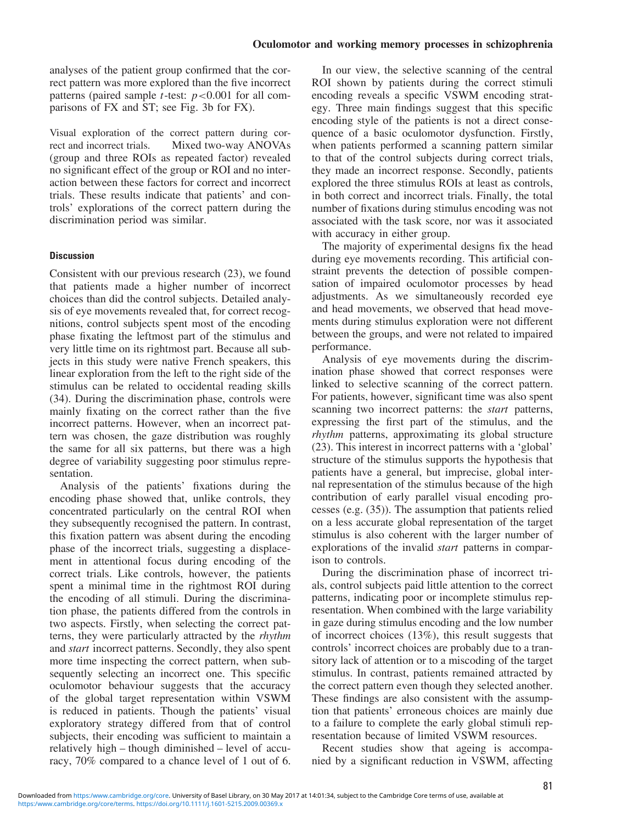analyses of the patient group confirmed that the correct pattern was more explored than the five incorrect patterns (paired sample *t*-test: *p<*0*.*001 for all comparisons of FX and ST; see Fig. 3b for FX).

Visual exploration of the correct pattern during correct and incorrect trials. Mixed two-way ANOVAs (group and three ROIs as repeated factor) revealed no significant effect of the group or ROI and no interaction between these factors for correct and incorrect trials. These results indicate that patients' and controls' explorations of the correct pattern during the discrimination period was similar.

# **Discussion**

Consistent with our previous research (23), we found that patients made a higher number of incorrect choices than did the control subjects. Detailed analysis of eye movements revealed that, for correct recognitions, control subjects spent most of the encoding phase fixating the leftmost part of the stimulus and very little time on its rightmost part. Because all subjects in this study were native French speakers, this linear exploration from the left to the right side of the stimulus can be related to occidental reading skills (34). During the discrimination phase, controls were mainly fixating on the correct rather than the five incorrect patterns. However, when an incorrect pattern was chosen, the gaze distribution was roughly the same for all six patterns, but there was a high degree of variability suggesting poor stimulus representation.

Analysis of the patients' fixations during the encoding phase showed that, unlike controls, they concentrated particularly on the central ROI when they subsequently recognised the pattern. In contrast, this fixation pattern was absent during the encoding phase of the incorrect trials, suggesting a displacement in attentional focus during encoding of the correct trials. Like controls, however, the patients spent a minimal time in the rightmost ROI during the encoding of all stimuli. During the discrimination phase, the patients differed from the controls in two aspects. Firstly, when selecting the correct patterns, they were particularly attracted by the *rhythm* and *start* incorrect patterns. Secondly, they also spent more time inspecting the correct pattern, when subsequently selecting an incorrect one. This specific oculomotor behaviour suggests that the accuracy of the global target representation within VSWM is reduced in patients. Though the patients' visual exploratory strategy differed from that of control subjects, their encoding was sufficient to maintain a relatively high – though diminished – level of accuracy, 70% compared to a chance level of 1 out of 6.

In our view, the selective scanning of the central ROI shown by patients during the correct stimuli encoding reveals a specific VSWM encoding strategy. Three main findings suggest that this specific encoding style of the patients is not a direct consequence of a basic oculomotor dysfunction. Firstly, when patients performed a scanning pattern similar to that of the control subjects during correct trials, they made an incorrect response. Secondly, patients explored the three stimulus ROIs at least as controls, in both correct and incorrect trials. Finally, the total number of fixations during stimulus encoding was not associated with the task score, nor was it associated with accuracy in either group.

The majority of experimental designs fix the head during eye movements recording. This artificial constraint prevents the detection of possible compensation of impaired oculomotor processes by head adjustments. As we simultaneously recorded eye and head movements, we observed that head movements during stimulus exploration were not different between the groups, and were not related to impaired performance.

Analysis of eye movements during the discrimination phase showed that correct responses were linked to selective scanning of the correct pattern. For patients, however, significant time was also spent scanning two incorrect patterns: the *start* patterns, expressing the first part of the stimulus, and the *rhythm* patterns, approximating its global structure (23). This interest in incorrect patterns with a 'global' structure of the stimulus supports the hypothesis that patients have a general, but imprecise, global internal representation of the stimulus because of the high contribution of early parallel visual encoding processes (e.g. (35)). The assumption that patients relied on a less accurate global representation of the target stimulus is also coherent with the larger number of explorations of the invalid *start* patterns in comparison to controls.

During the discrimination phase of incorrect trials, control subjects paid little attention to the correct patterns, indicating poor or incomplete stimulus representation. When combined with the large variability in gaze during stimulus encoding and the low number of incorrect choices (13%), this result suggests that controls' incorrect choices are probably due to a transitory lack of attention or to a miscoding of the target stimulus. In contrast, patients remained attracted by the correct pattern even though they selected another. These findings are also consistent with the assumption that patients' erroneous choices are mainly due to a failure to complete the early global stimuli representation because of limited VSWM resources.

Recent studies show that ageing is accompanied by a significant reduction in VSWM, affecting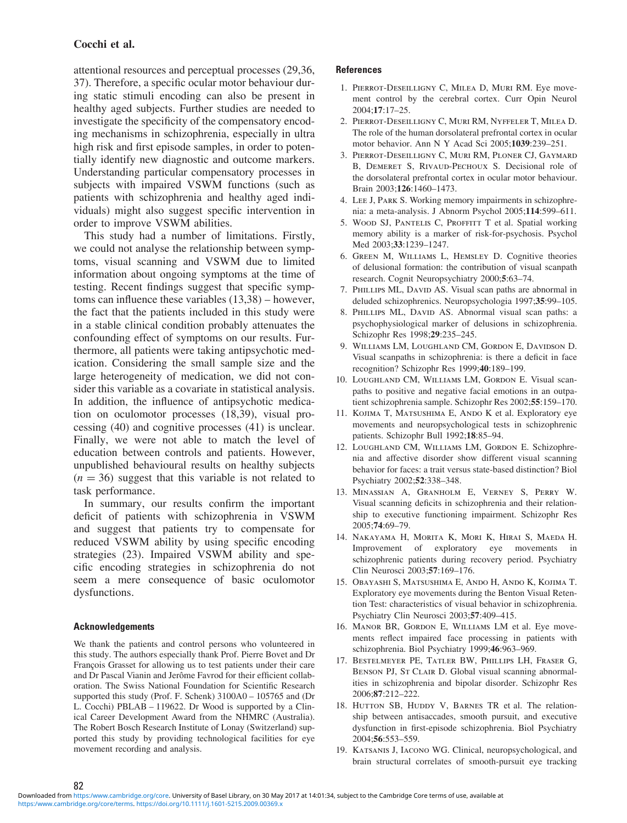## **Cocchi et al.**

attentional resources and perceptual processes (29,36, 37). Therefore, a specific ocular motor behaviour during static stimuli encoding can also be present in healthy aged subjects. Further studies are needed to investigate the specificity of the compensatory encoding mechanisms in schizophrenia, especially in ultra high risk and first episode samples, in order to potentially identify new diagnostic and outcome markers. Understanding particular compensatory processes in subjects with impaired VSWM functions (such as patients with schizophrenia and healthy aged individuals) might also suggest specific intervention in order to improve VSWM abilities.

This study had a number of limitations. Firstly, we could not analyse the relationship between symptoms, visual scanning and VSWM due to limited information about ongoing symptoms at the time of testing. Recent findings suggest that specific symptoms can influence these variables (13,38) – however, the fact that the patients included in this study were in a stable clinical condition probably attenuates the confounding effect of symptoms on our results. Furthermore, all patients were taking antipsychotic medication. Considering the small sample size and the large heterogeneity of medication, we did not consider this variable as a covariate in statistical analysis. In addition, the influence of antipsychotic medication on oculomotor processes (18,39), visual processing (40) and cognitive processes (41) is unclear. Finally, we were not able to match the level of education between controls and patients. However, unpublished behavioural results on healthy subjects  $(n = 36)$  suggest that this variable is not related to task performance.

In summary, our results confirm the important deficit of patients with schizophrenia in VSWM and suggest that patients try to compensate for reduced VSWM ability by using specific encoding strategies (23). Impaired VSWM ability and specific encoding strategies in schizophrenia do not seem a mere consequence of basic oculomotor dysfunctions.

#### **Acknowledgements**

We thank the patients and control persons who volunteered in this study. The authors especially thank Prof. Pierre Bovet and Dr François Grasset for allowing us to test patients under their care and Dr Pascal Vianin and Jerôme Favrod for their efficient collaboration. The Swiss National Foundation for Scientific Research supported this study (Prof. F. Schenk) 3100A0 – 105765 and (Dr L. Cocchi) PBLAB – 119622. Dr Wood is supported by a Clinical Career Development Award from the NHMRC (Australia). The Robert Bosch Research Institute of Lonay (Switzerland) supported this study by providing technological facilities for eye movement recording and analysis.

#### **References**

- 1. Pierrot-Deseilligny C, Milea D, Muri RM. Eye movement control by the cerebral cortex. Curr Opin Neurol 2004;**17**:17–25.
- 2. Pierrot-Deseilligny C, Muri RM, Nyffeler T, Milea D. The role of the human dorsolateral prefrontal cortex in ocular motor behavior. Ann N Y Acad Sci 2005;**1039**:239–251.
- 3. Pierrot-Deseilligny C, Muri RM, Ploner CJ, Gaymard B, DEMERET S, RIVAUD-PECHOUX S. Decisional role of the dorsolateral prefrontal cortex in ocular motor behaviour. Brain 2003;**126**:1460–1473.
- 4. Lee J, Park S. Working memory impairments in schizophrenia: a meta-analysis. J Abnorm Psychol 2005;**114**:599–611.
- 5. Wood SJ, Pantelis C, Proffitt T et al. Spatial working memory ability is a marker of risk-for-psychosis. Psychol Med 2003;**33**:1239–1247.
- 6. Green M, Williams L, Hemsley D. Cognitive theories of delusional formation: the contribution of visual scanpath research. Cognit Neuropsychiatry 2000;**5**:63–74.
- 7. PHILLIPS ML, DAVID AS. Visual scan paths are abnormal in deluded schizophrenics. Neuropsychologia 1997;**35**:99–105.
- 8. PHILLIPS ML, DAVID AS. Abnormal visual scan paths: a psychophysiological marker of delusions in schizophrenia. Schizophr Res 1998;**29**:235–245.
- 9. Williams LM, Loughland CM, Gordon E, Davidson D. Visual scanpaths in schizophrenia: is there a deficit in face recognition? Schizophr Res 1999;**40**:189–199.
- 10. Loughland CM, Williams LM, Gordon E. Visual scanpaths to positive and negative facial emotions in an outpatient schizophrenia sample. Schizophr Res 2002;**55**:159–170.
- 11. Kojima T, Matsushima E, Ando K et al. Exploratory eye movements and neuropsychological tests in schizophrenic patients. Schizophr Bull 1992;**18**:85–94.
- 12. Loughland CM, Williams LM, Gordon E. Schizophrenia and affective disorder show different visual scanning behavior for faces: a trait versus state-based distinction? Biol Psychiatry 2002;**52**:338–348.
- 13. Minassian A, Granholm E, Verney S, Perry W. Visual scanning deficits in schizophrenia and their relationship to executive functioning impairment. Schizophr Res 2005;**74**:69–79.
- 14. Nakayama H, Morita K, Mori K, Hirai S, Maeda H. Improvement of exploratory eye movements in schizophrenic patients during recovery period. Psychiatry Clin Neurosci 2003;**57**:169–176.
- 15. Obayashi S, Matsushima E, Ando H, Ando K, Kojima T. Exploratory eye movements during the Benton Visual Retention Test: characteristics of visual behavior in schizophrenia. Psychiatry Clin Neurosci 2003;**57**:409–415.
- 16. MANOR BR, GORDON E, WILLIAMS LM et al. Eye movements reflect impaired face processing in patients with schizophrenia. Biol Psychiatry 1999;**46**:963–969.
- 17. Bestelmeyer PE, Tatler BW, Phillips LH, Fraser G, BENSON PJ, ST CLAIR D. Global visual scanning abnormalities in schizophrenia and bipolar disorder. Schizophr Res 2006;**87**:212–222.
- 18. HUTTON SB, HUDDY V, BARNES TR et al. The relationship between antisaccades, smooth pursuit, and executive dysfunction in first-episode schizophrenia. Biol Psychiatry 2004;**56**:553–559.
- 19. Katsanis J, Iacono WG. Clinical, neuropsychological, and brain structural correlates of smooth-pursuit eye tracking